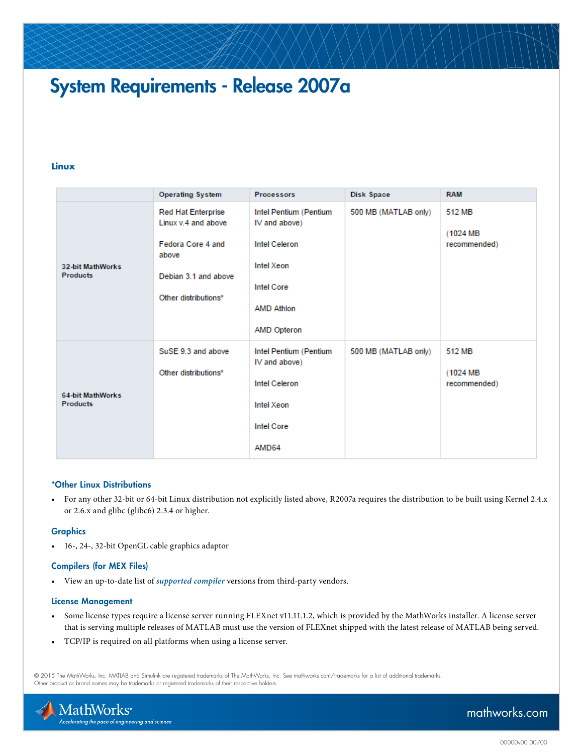# System Requirements - Release 2007a

#### **Linux**

|                                            | <b>Operating System</b>                                                                                                        | <b>Processors</b>                                                                                                                      | Disk Space           | <b>RAM</b>                          |
|--------------------------------------------|--------------------------------------------------------------------------------------------------------------------------------|----------------------------------------------------------------------------------------------------------------------------------------|----------------------|-------------------------------------|
| <b>32-bit MathWorks</b><br><b>Products</b> | <b>Red Hat Enterprise</b><br>Linux v.4 and above<br>Fedora Core 4 and<br>above<br>Debian 3.1 and above<br>Other distributions* | Intel Pentium (Pentium<br>IV and above)<br><b>Intel Celeron</b><br>Intel Xeon<br><b>Intel Core</b><br><b>AMD Athlon</b><br>AMD Opteron | 500 MB (MATLAB only) | 512 MB<br>(1024 MB)<br>recommended) |
| 64-bit MathWorks<br><b>Products</b>        | SuSE 9.3 and above<br>Other distributions*                                                                                     | Intel Pentium (Pentium<br>IV and above)<br><b>Intel Celeron</b><br>Intel Xeon<br><b>Intel Core</b><br>AMD64                            | 500 MB (MATLAB only) | 512 MB<br>(1024 MB<br>recommended)  |

#### \*Other Linux Distributions

• For any other 32-bit or 64-bit Linux distribution not explicitly listed above, R2007a requires the distribution to be built using Kernel 2.4.x or 2.6.x and glibc (glibc6) 2.3.4 or higher.

#### **Graphics**

• 16-, 24-, 32-bit OpenGL cable graphics adaptor

#### Compilers (for MEX Files)

• View an up-to-date list of *[supported compiler](http://www.mathworks.com/support/compilers/current_release/)* versions from third-party vendors.

#### License Management

- Some license types require a license server running FLEXnet v11.11.1.2, which is provided by the MathWorks installer. A license server that is serving multiple releases of MATLAB must use the version of FLEXnet shipped with the latest release of MATLAB being served.
- TCP/IP is required on all platforms when using a license server.

© 2015 The MathWorks, Inc. MATLAB and Simulink are registered trademarks of The MathWorks, Inc. See [mathworks.com/trademarks](http://www.mathworks.com/trademarks) for a list of additional trademarks. Other product or brand names may be trademarks or registered trademarks of their respective holders.



## [mathworks.com](http://www.mathworks.com)